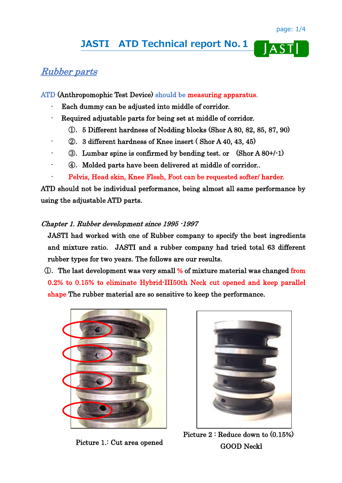$J\overline{ASI}$ 

# **JASTI ATD Technical report No.1**

## Rubber parts

ATD (Anthropomophic Test Device) should be measuring apparatus.

- Each dummy can be adjusted into middle of corridor.
- Required adjustable parts for being set at middle of corridor.
	- ①.5 Different hardness of Nodding blocks (Shor A 80, 82, 85, 87, 90)
- ②.3 different hardness of Knee insert ( Shor A 40, 43, 45)
- $\circ$ . Lumbar spine is confirmed by bending test. or  $(Shor A 80+/1)$
- ④.Molded parts have been delivered at middle of corridor..
- Pelvis, Head skin, Knee Flesh, Foot can be requested softer/ harder.

ATD should not be individual performance, being almost all same performance by using the adjustable ATD parts.

### Chapter 1. Rubber development since 1995 -1997

 JASTI had worked with one of Rubber company to specify the best ingredients and mixture ratio. JASTI and a rubber company had tried total 63 different rubber types for two years. The follows are our results.

 ①.The last development was very small % of mixture material was changed from 0.2% to 0.15% to eliminate Hybrid-III50th Neck cut opened and keep parallel shape The rubber material are so sensitive to keep the performance.



Picture 1.: Cut area opened



Picture 2 : Reduce down to (0.15%) GOOD Neckl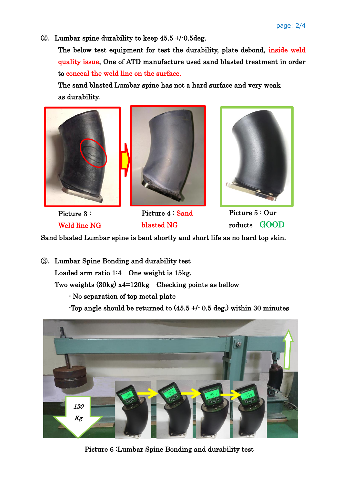②.Lumbar spine durability to keep 45.5 +/-0.5deg.

 The below test equipment for test the durability, plate debond, inside weld quality issue, One of ATD manufacture used sand blasted treatment in order to conceal the weld line on the surface.

 The sand blasted Lumbar spine has not a hard surface and very weak as durability.





Picture 3 : Weld line NG

Picture 4 : Sand blasted NG



Picture 5 : Our roducts GOOD

Sand blasted Lumbar spine is bent shortly and short life as no hard top skin.

③.Lumbar Spine Bonding and durability test Loaded arm ratio 1:4 One weight is 15kg. Two weights (30kg) x4=120kg Checking points as bellow - No separation of top metal plate -Top angle should be returned to  $(45.5 + 0.5$  deg.) within 30 minutes



Picture 6 :Lumbar Spine Bonding and durability test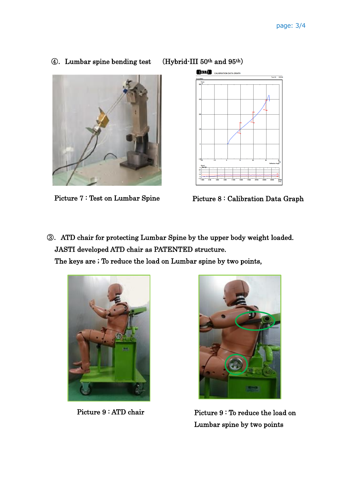```
 ④.Lumbar spine bending test (Hybrid-III 50th and 95th)
```




③.ATD chair for protecting Lumbar Spine by the upper body weight loaded. JASTI developed ATD chair as PATENTED structure.

The keys are ; To reduce the load on Lumbar spine by two points,





Picture 9 : ATD chair Picture 9 : To reduce the load on Lumbar spine by two points